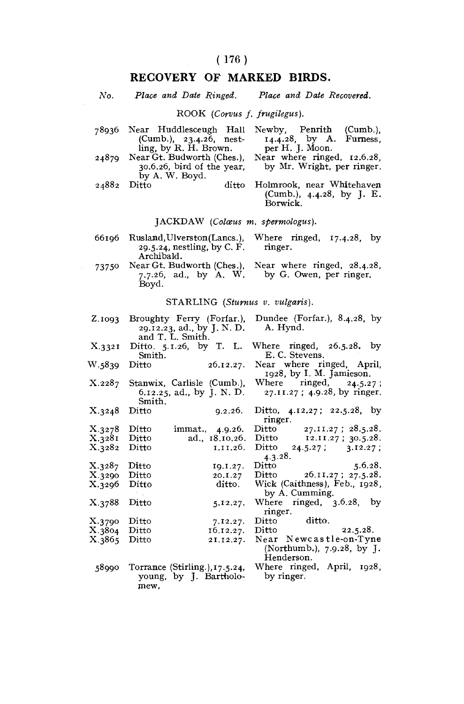# RECOVERY OF MARKED BIRDS.

| No.                          |                                                                             | Place and Date Ringed. Place and Date Recovered.                                                        |  |  |  |
|------------------------------|-----------------------------------------------------------------------------|---------------------------------------------------------------------------------------------------------|--|--|--|
| ROOK (Corvus f. frugilegus). |                                                                             |                                                                                                         |  |  |  |
| 78936                        | Near Huddlesceugh Hall<br>(Cumb.), 23.4.26, nest-<br>ling, by R. H. Brown.  | Newby, Penrith (Cumb.),<br>$14.4.28$ , by A.<br>Furness,<br>per H. J. Moon.                             |  |  |  |
| 24879                        | Near Gt. Budworth (Ches.),<br>30.6.26, bird of the year,<br>by A. W. Boyd.  | Near where ringed, 12.6.28,<br>by Mr. Wright, per ringer.                                               |  |  |  |
| 24882                        | ditto<br>Ditto                                                              | Holmrook, near Whitehaven<br>(Cumb.), $4.4.28$ , by J. E.<br>Borwick.                                   |  |  |  |
|                              | JACKDAW (Colœus m. spermologus).                                            |                                                                                                         |  |  |  |
| 66196                        | Rusland, Ulverston(Lancs.),<br>29.5.24, nestling, by C. F.<br>Archibald.    | Where ringed, 17.4.28, by<br>ringer.                                                                    |  |  |  |
| 73750                        | Boyd.                                                                       | Near Gt. Budworth (Ches.), Near where ringed, 28.4.28,<br>7.7.26, ad., by A. W. by G. Owen, per ringer. |  |  |  |
|                              | STARLING (Sturnus v. vulgaris).                                             |                                                                                                         |  |  |  |
| Z.1093                       | Broughty Ferry (Forfar.),<br>29.12.23, ad., by J. N. D.<br>and T. L. Smith. | Dundee (Forfar.), $8.4.28$ , by<br>A. Hynd.                                                             |  |  |  |
| X.3321                       | Ditto. 5.1.26, by T. L.<br>Smith.                                           | Where ringed, $26.5.28$ , by<br>E. C. Stevens.                                                          |  |  |  |
| W.5839                       | 26.12.27.<br>Ditto                                                          | Near where ringed, April,<br>1928, by I. M. Jamieson.                                                   |  |  |  |
| $\rm X.228_7$                | Stanwix, Carlisle (Cumb.),<br>6.12.25, ad., by J. N. D.<br>Smith.           | Where<br>ringed,<br>24.5.27;<br>27.11.27; 4.9.28, by ringer.                                            |  |  |  |
| X.3248                       | Ditto<br>9.2.26.                                                            | Ditto, $4.12.27$ ; $22.5.28$ , by<br>ringer.                                                            |  |  |  |
| X.3278                       | immat., 4.9.26.<br>Ditto                                                    | 27.II.27; 28.5.28.<br>Ditto                                                                             |  |  |  |
| X.3281<br>X.3282             | Ditto<br>ad., 18.10.26.<br>Ditto<br>1.11.26.                                | Ditto 12.11.27; 30.5.28.<br>Ditto $24.5.27$ ; $3.12.27$ ;                                               |  |  |  |
|                              |                                                                             | 4.3.28.                                                                                                 |  |  |  |
| X.3287                       | Ditto<br>19.1.27.                                                           | Ditto<br>5.6.28.                                                                                        |  |  |  |
| X.3290                       | Ditto<br>20.1.27                                                            | Ditto 26.11.27; 27.5.28.                                                                                |  |  |  |
| X.3296                       | ditto.<br>Ditto                                                             | Wick (Caithness), Feb., 1928,<br>by A. Cumming.                                                         |  |  |  |
| X.3788                       | Ditto<br>5.12.27.                                                           | Where ringed, 3.6.28, by<br>ringer.                                                                     |  |  |  |
| X.3790                       | Ditto<br>7.12.27.                                                           | Ditto<br>Ditto<br>ditto.                                                                                |  |  |  |
| X.3804                       | Ditto<br>16.12.27.                                                          | 22.5.28.                                                                                                |  |  |  |
| X.3865                       | Ditto<br>21.12.27.                                                          | Near Newcastle-on-Tyne                                                                                  |  |  |  |

|       |                                                                  | (2.32222222227, 1.772227, 2.7722)<br>Henderson. |  |
|-------|------------------------------------------------------------------|-------------------------------------------------|--|
| 58990 | Torrance (Stirling.), 17.5.24,<br>young, by J. Bartholo-<br>mew. | Where ringed, April, 1928,<br>by ringer.        |  |

Near Newcastre-on-Tyne

X.3865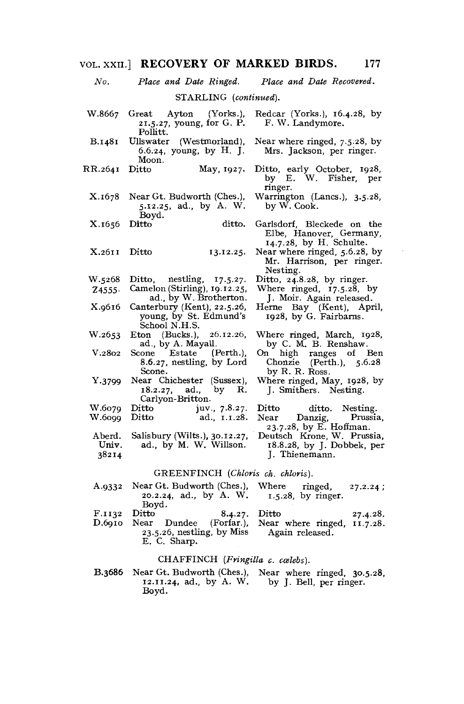# VOL. XXII] RECOVERY OF MARKED BIRDS. 177

| No.            |                                                                                                         | Place and Date Ringed. Place and Date Recovered.                                 |
|----------------|---------------------------------------------------------------------------------------------------------|----------------------------------------------------------------------------------|
|                | STARLING (continued).                                                                                   |                                                                                  |
| W.8667         | $(Y$ orks.),<br>Great Ayton<br>21.5.27, young, for G. P.<br>Pollitt.                                    | Redcar (Yorks.), 16.4.28, by<br>F. W. Landymore.                                 |
| <b>B.1481</b>  | Ullswater (Westmorland),<br>6.6.24, young, by H. J.<br>Moon.                                            | Near where ringed, 7.5.28, by<br>Mrs. Jackson, per ringer.                       |
| RR.2641        | Ditto<br>May, 1927.                                                                                     | Ditto, early October, 1928,<br>by E. W. Fisher, per<br>ringer.                   |
| X.1678         | Near Gt. Budworth (Ches.),<br>5.12.25, ad., by A. W.<br>Bovd.                                           | Warrington (Lancs.), 3.5.28,<br>by W. Cook.                                      |
| X.1656         | ditto.<br>Ditto                                                                                         | Garlsdorf, Bleckede on the<br>Elbe, Hanover, Germany,<br>14.7.28, by H. Schulte. |
| X.2611         | Ditto<br>13.12.25.                                                                                      | Near where ringed, 5.6.28, by<br>Mr. Harrison, per ringer.<br>Nesting.           |
| W.5268         | Ditto, nestling, $17.5.27$ .                                                                            | Ditto, 24.8.28, by ringer.                                                       |
| 74555.         | Camelon (Stirling), 19.12.25,<br>ad., by W. Brotherton.                                                 | Where ringed, 17.5.28, by<br>J. Moir. Again released.                            |
| X.9616         | Canterbury (Kent), 22.5.26,<br>young, by St. Edmund's<br>School N.H.S.                                  | Herne Bay (Kent), April,<br>1928, by G. Fairbarns.                               |
| W.2653         | Eton (Bucks.),<br>26.12.26,<br>ad., by A. Mayall.                                                       | Where ringed, March, 1928,<br>by C. M. B. Renshaw.                               |
| V.2802         | Scone Estate (Perth.),<br>8.6.27, nestling, by Lord<br>Scone.                                           | On high ranges of Ben<br>Chonzie $(Perth.)$ , 5.6.28<br>by R. R. Ross.           |
| Y.3799         | Near Chichester (Sussex),<br>18.2.27, ad., by R.<br>Carlyon-Britton.                                    | Where ringed, May, 1928, by<br>J. Smithers. Nesting.                             |
| W.6079         | Ditto juv., 7.8.27.<br>Ditto ad., 1.1.28.                                                               | ditto. Nesting.<br>$\mathbf{Ditto}$                                              |
| W.6099         |                                                                                                         | Near Danzig, Prussia,<br>23.7.28, by E. Hoffman.                                 |
| ${\bf Aberd.}$ | Salisbury (Wilts.), 30.12.27,                                                                           | Deutsch Krone, W. Prussia,                                                       |
| Univ.          | ad., by M. W. Willson.                                                                                  | 18.8.28, by J. Dobbek, per                                                       |
| 38214          |                                                                                                         | J. Thienemann.                                                                   |
|                | GREENFINCH (Chloris ch. chloris).                                                                       |                                                                                  |
| A.9332         | Near Gt. Budworth (Ches.),<br>20.2.24, ad., by A. W.<br>Boyd.                                           | Where ringed,<br>27.2.24;<br>$1.5.28$ , by ringer.                               |
| F.1132         | Ditto<br>8.4.27.                                                                                        | Ditto<br>27.4.28.                                                                |
| D.6910         | Near Dundee (Forfar.), Near where ringed,<br>23.5.26, nestling, by Miss Again released.<br>E. C. Sharp. | 11.7.28.                                                                         |

# CHAFFINCH *{Fringilla c. ccelebs).*

B.3686 Near Gt. Budworth (Ches.), Near where ringed, 30.5.28, 12.11.24, ad., by A. W. by J. Bell, per ringer. Boyd.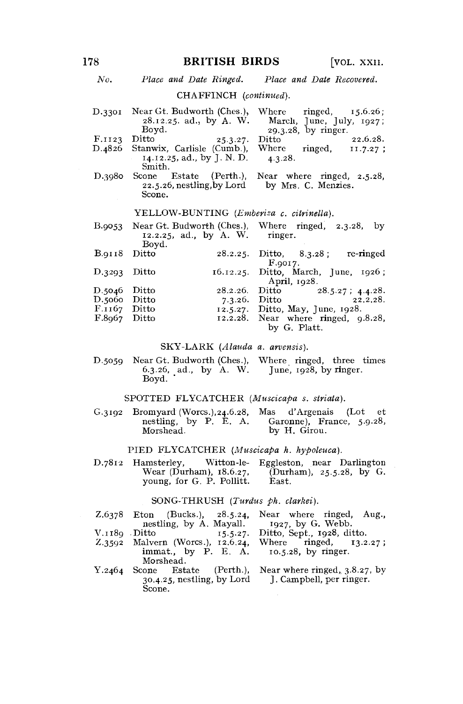# 178 **BRITISH BIRDS** [VOL. XXII.

## *No. Place and Date Ringed. Place and Date Recovered.*

# CHAFFINCH *(continued).*

|        |                                                                                                                | D.3301 Near Gt. Budworth (Ches.), Where ringed, 15.6.26; |
|--------|----------------------------------------------------------------------------------------------------------------|----------------------------------------------------------|
|        |                                                                                                                | 28.12.25. ad., by A. W. March, June, July, 1927;         |
|        | Boyd.                                                                                                          | 29.3.28, by ringer.                                      |
| F.1123 | Ditto<br>25.3.27.                                                                                              | 22.6.28.<br>Ditto                                        |
|        |                                                                                                                | D.4826 Stanwix, Carlisle (Cumb.), Where ringed, 11.7.27; |
|        | 14.12.25, ad., by J. N. D.<br>Smith.                                                                           | 4.3.28.                                                  |
| D.3980 | Scone Estate (Perth.).                                                                                         | Near where ringed, 2.5.28,                               |
|        | 22.5.26, nestling, by Lord by Mrs. C. Menzies.                                                                 |                                                          |
|        | Scone.                                                                                                         |                                                          |
|        | VELLOW DINTRING (Factoring and the state of the state of the state of the state of the State of the State of T |                                                          |

#### YELLOW-BUNTING *(Emberiza c. citrinella).*

|                |       | B.9053 Near Gt. Budworth (Ches.). Where ringed, 2.3.28, by<br>12.2.25, ad., by A. W. ringer. |               |                                     |          |  |
|----------------|-------|----------------------------------------------------------------------------------------------|---------------|-------------------------------------|----------|--|
| B.0118 Ditto   | Boyd. |                                                                                              |               |                                     |          |  |
|                |       |                                                                                              | F.9017.       | 28.2.25. Ditto, 8.3.28; re-ringed   |          |  |
| $D.3293$ Ditto |       | $16.12.25$ . Ditto, March, June, $1926$ ;                                                    |               |                                     |          |  |
|                |       |                                                                                              |               | April, $1928$ .                     |          |  |
| $D.5046$ Ditto |       | 28.2.26.                                                                                     | Ditto         | $28.5.27$ ; 4.4.28.                 |          |  |
| D.5060 Ditto   |       |                                                                                              | 7.3.26. Ditto |                                     | 22.2.28. |  |
| F.1167 Ditto   |       |                                                                                              |               | 12.5.27. Ditto, May, June, 1928.    |          |  |
| $F.8967$ Ditto |       |                                                                                              |               | 12.2.28. Near where ringed, 9.8.28, |          |  |
|                |       |                                                                                              |               | by G. Platt.                        |          |  |

# SKY-LARK *(Alauda a. arvensis).*

D.5059 Near Gt. Budworth (Ches.), Where ringed, three times 6.3.26, ad., by A. W. Boyd. June, 1928, by ringer.

# SPOTTED FLYCATCHER *(Muscicapa s. striata).*

G.3192 Bromyard (Worcs.), 24.6.28, nestling, by P. E. A. Morshead. P. E. A. Garonne), France, 5-9-28, by H. Girou. Mas d'Argenais (Lot et

## PIED FLYCATCHER *(Muscicapa h. hypoleuca).*

D.7812 Hamsterley, Witton-le- Eggleston, near Darlington (Durham),  $25.5.28$ , by G. East. young, for G. P. Pollitt.

## SONG-THRUSH *(Turdus ph. clarkei).*

|        | Z.6378 Eton (Bucks.), 28.5.24,                                                              | Near where ringed, Aug.,                                  |
|--------|---------------------------------------------------------------------------------------------|-----------------------------------------------------------|
|        | nestling, by A. Mayall. 1927, by G. Webb.                                                   |                                                           |
| V.1180 | Ditto<br>15.5.27.                                                                           | Ditto, Sept., 1928, ditto.                                |
|        | Z.3592 Malvern (Worcs.), 12.6.24,<br>immat., by $P. E. A.$ 10.5.28, by ringer.<br>Morshead. | Where $ringed$ , $13.2.27$ ;                              |
|        | Y.2464 Scone Estate (Perth.),<br>$30.4.25$ , nestling, by Lord<br>Scone.                    | Near where ringed, 3.8.27, by<br>J. Campbell, per ringer. |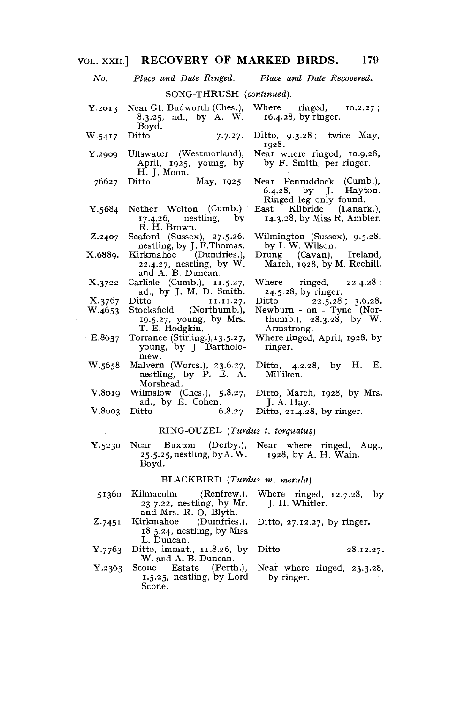| No.              | Place and Date Ringed.                                                                   | Place and Date Recovered.                                                                       |
|------------------|------------------------------------------------------------------------------------------|-------------------------------------------------------------------------------------------------|
|                  | SONG-THRUSH (continued).                                                                 |                                                                                                 |
| Y.2013           | 8.3.25, ad., by A. W. 16.4.28, by ringer.<br>Boyd.                                       | Near Gt. Budworth (Ches.), Where ringed, 10.2.27;                                               |
| W.5417           | Ditto<br>7.7.27.                                                                         | Ditto, $9.3.28$ ; twice May,<br>1928.                                                           |
| Y.2909           | Ullswater (Westmorland),<br>April, 1925, young, by<br>H. J. Moon.                        | Near where ringed, 10.9.28,<br>by F. Smith, per ringer.                                         |
| 76627            | May, 1925.<br>Ditto                                                                      | Near Penruddock (Cumb.),<br>6.4.28, by J. Hayton.<br>Ringed leg only found.                     |
| Y.5684           | Nether Welton (Cumb.),<br>$17.4.26$ , nestling, by<br>R. H. Brown.                       | East Kilbride (Lanark.),<br>14.3.28, by Miss R. Ambler.                                         |
| Z.2407           | Seaford (Sussex), 27.5.26,<br>nestling, by J. F. Thomas.                                 | Wilmington (Sussex), 9.5.28,<br>by I. W. Wilson.                                                |
| X.6889.          | Kirkmahoe (Dumfries.),<br>22.4.27, nestling, by W.<br>and A. B. Duncan.                  | Drung (Cavan), Ireland,<br>March, 1928, by M. Reehill.                                          |
| X.3722           | Carlisle (Cumb.), 11.5.27,<br>ad., by J. M. D. Smith.                                    | Where $ringed$ , $22.4.28$ ;<br>24.5.28, by ringer.                                             |
| X.3767<br>W.4653 | Ditto 11.11.27.<br>Stocksfield (Northumb.),<br>19.5.27, young, by Mrs.<br>T. E. Hodgkin. | Ditto 22.5.28; 3.6.28.<br>Newburn - on - Tyne (Nor-<br>thumb.), $28.3.28$ , by W.<br>Armstrong. |
| E.8637           | Torrance (Stirling.), 13.5.27,<br>young, by J. Bartholo-<br>mew.                         | Where ringed, April, 1928, by<br>ringer.                                                        |
| W.5658           | Malvern (Worcs.), 23.6.27,<br>nestling, by P. E. A.<br>Morshead.                         | Ditto, $4.2.28$ , by H. E.<br>Milliken.                                                         |
| V.8019           | Wilmslow (Ches.), $5.8.27$ ,<br>ad., by E. Cohen.                                        | Ditto, March, 1928, by Mrs.<br>I. A. Hay.                                                       |
| V.8003           | Ditto<br>6.8.27.                                                                         | Ditto, $21.4.28$ , by ringer.                                                                   |
|                  | RING-OUZEL (Turdus t. torquatus)                                                         |                                                                                                 |
| Y.5230           | 25.5.25, nestling, by A. W. 1928, by A. H. Wain.<br>Boyd.                                | Near Buxton (Derby.), Near where ringed, Aug.,                                                  |
|                  | BLACKBIRD (Turdus m. merula).                                                            |                                                                                                 |
|                  | 51360 Kilmacolm<br>23.7.22, nestling, by Mr. J. H. Whitler.<br>and Mrs. R. O. Blyth.     | (Renfrew.), Where ringed, $12.7.28$ , by                                                        |

- Z-745I and Mrs. R. O. Blyth. Kirkmahoe (Dumfries.), 18.5.24, nestling, by Miss L. Duncan. Ditto, 27.12.27, by ringer. Ditto 28.12.27.
- Y.7763 Ditto, immat., 11.8.26, by W. and A. B. Duncan.
- Y.2363 Scone Estate (Perth.), 1.5.25, nestling, by Lord Scone. Near where ringed, 23.3.28, by ringer.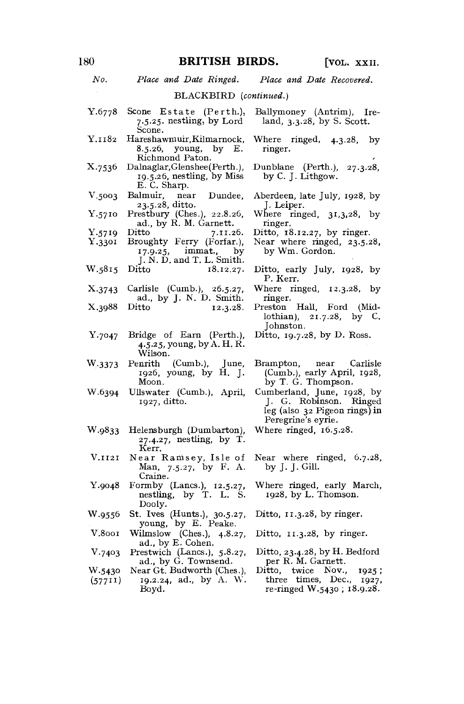*No. Place and Date Ringed. Place and Date Recovered.*  BLACKBIRD *(continued.)*  Y.6778 Scone Estate (Perth.), 7.5.25. nestling, by  $Lord'$ Scone. Y.1182 Hareshawmuir, Kilmarnock, 8.5.26, young, by E. Richmond Paton. X.7536 Dalnaglar,Glenshee(Perth.), 19.5.26, nestling, by Miss E. C. Sharp.<br>ılmuir. — near V.5003 Balmuir, near Dundee, 23.5.28, ditto. Y.5710 Prestbury (Ches.), 22.8.26, ad., by R. M. Garnett.<br>Ditto 7.11.2 Y.5719 Ditto 7.11.26.<br>Y.3301 Broughty Ferry (Forfar.). Broughty Ferry (Forfar.),  $17.9.25$ , immat., by immat., J. N. D. and T. L. Smith.<br>Ditto 18.12.27. W.5815 Ditto 18.12.27. X.3743 Carlisle (Cumb.), 26.5.27, ad., by J. N. D. Smith.<br>Ditto 12.3.28. X.3988 Ditto 12.3.28. Y.7047 Bridge of Earn (Perth.), 4.5.25, young, by A. H. R. Wilson. W.3373 Penrith (Cumb.), June, 1926, young, by H. J. Moon. W.6394 Ullswater (Cumb.), April, 1927, ditto. W.9833 Helensburgh (Dumbarton), 27.4.27, nestling, by T. Kerr. V.1121 Near Ramsey, Isle of Man, 7.5.27, by F. A. Craine. Y.9048 Formby (Lanes.), 12.5.27, nestling, by T. L. S. Dooly. W.9556 St. Ives (Hunts.), 30.5.27, young, by E. Peake. V.8001 Wilmslow (Ches.), 4.8.27, ad., by E. Cohen. V.7403 Prestwich (Lancs.), 5.8.27, ad., by G. Townsend. W.5430 Near Gt. Budworth (Ches.), (577<sup>11</sup>) <sup>I</sup>9-2.24, ad., by A. W. Boyd. Ballymoney (Antrim), Ireland, 3.3.28, by S. Scott. Where ringed, 4.3.28, by ringer. Dunblane (Perth.), 27.3.28, by C. J. Lithgow. Aberdeen, late July, 1928, by J. Leiper. Where ringed, 31,3,28, by ringer. Ditto $\overline{18.12.27}$ , by ringer. Near where ringed, 23.5.28, by Wm. Gordon. Ditto, early July, 1928, by P. Kerr. Where ringed, 12.3.28, by ringer. Preston Hall, Ford (Midlothian), 21.7.28, by C. Johnston. Ditto, 19.7.28, by D. Ross. Brampton, near Carlisle (Cumb.), early April, 1928, by T. G. Thompson. Cumberland, June, 1928, by J. G. Robinson. Ringed leg (also 32 Pigeon rings) in Peregrine's eyrie. Where ringed, 16.5.28. Near where ringed, 6.7.28, by J. J. Gill. Where ringed, early March, 1928, by L. Thomson. Ditto, 11.3.28, by ringer. Ditto, 11.3.28, by ringer. Ditto, 23.4.28, by H. Bedford per R. M. Garnett. Ditto, twice Nov., 1925; three times, Dec., 1927, re-ringed W.5430; 18.9.28.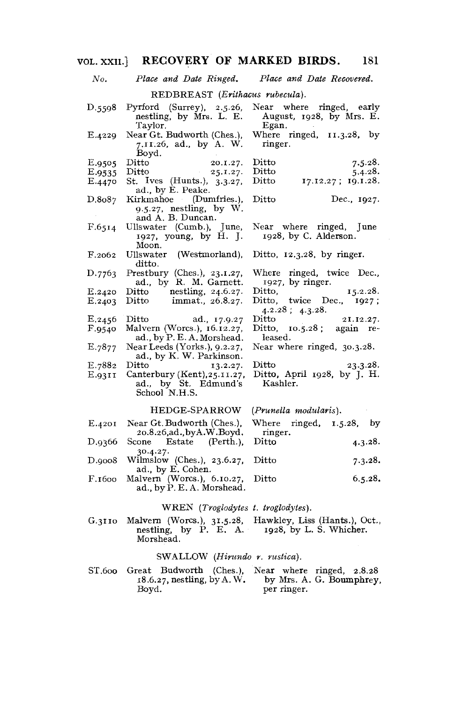# VOL. XXII] RECOVERY OF MARKED BIRDS. 181

| No.    | Place and Date Ringed.                                                    | Place and Date Recovered.                                     |
|--------|---------------------------------------------------------------------------|---------------------------------------------------------------|
|        | REDBREAST (Erithacus rubecula).                                           |                                                               |
| D.5598 | Pyrford (Surrey), 2.5.26,<br>nestling, by Mrs. L. E.<br>Taylor.           | Near where ringed, early<br>August, 1928, by Mrs. E.<br>Egan. |
| E.4229 | Near Gt. Budworth (Ches.),<br>7.11.26, ad., by A. W.<br>Boyd.             | Where ringed, 11.3.28, by<br>ringer.                          |
| E.9505 | Ditto 20.1.27.<br>Ditto 25.1.27.                                          | $_{\rm Ditto}$<br>7.5.28.                                     |
| E.9535 |                                                                           | $\mathrm{Ditto}$<br>5.4.28.                                   |
| E.4470 | St. Ives (Hunts.), 3.3.27,<br>ad., by E. Peake.                           | Ditto 17.12.27; 19.1.28.                                      |
| D.8087 | Kirkmahoe (Dumfries.).<br>$9.5.27$ , nestling, by W.<br>and A. B. Duncan. | Ditto<br>Dec., 1927.                                          |
| F.65I4 | Ullswater (Cumb.), June,<br>1927, young, by H. J.<br>Moon.                | Near where ringed, June<br>1928, by C. Alderson.              |
| F.2062 | Ullswater (Westmorland),<br>ditto.                                        | Ditto, $12.3.28$ , by ringer.                                 |
| D.7763 | Prestbury (Ches.), $23.1.27$ ,<br>ad., by R. M. Garnett.                  | Where ringed, twice Dec.,<br>1927, by ringer.                 |
| E.2420 | Ditto nestling, 24.6.27.                                                  | Ditto,<br>$15.2.28$ .                                         |
| E.2403 | Ditto immat., $26.8.27$ .                                                 | Ditto, twice Dec., $1927$ ;<br>$4.2.28$ ; $4.3.28$ .          |
| E.2456 | Ditto ad., 17.9.27                                                        | $\mathrm{Ditto}$<br>21.12.27.                                 |
| F.9540 | Malvern (Worcs.), 16.12.27,<br>ad., by P. E. A. Morshead.                 | Ditto, $10.5.28$ ; again re-<br>leased.                       |
| E.7877 | Near Leeds (Yorks.), $9.2.27$ ,<br>ad., by K. W. Parkinson.               | Near where ringed, 30.3.28.                                   |
| E.7882 | Ditto $13.2.27$ .                                                         | <b>Ditto</b><br>23.3.28.                                      |
| E.93II | Canterbury (Kent), 25.11.27,<br>ad., by St. Edmund's<br>School N.H.S.     | Ditto, April 1928, by J. H.<br>Kashler.                       |
|        | HEDGE-SPARROW                                                             | (Prunella modularis).                                         |
| E.4201 | Near Gt. Budworth (Ches.),<br>20.8.26,ad.,byA.W.Boyd.                     | Where ringed, $1.5.28$ , by<br>ringer.                        |
| D.9366 | Scone Estate (Perth.),<br>.                                               | Ditto<br>4.3.28.                                              |

- 30.4.27. D.9008 Wilmslow (Ches.), 23.6.27, Ditto 7-3-<sup>2</sup> ad., by E. Concu.<br>alvoen. (Worce ) - 6
- F.1600 Marten (Worcs.), 6.1612), Ditto 6.5.28. ad., by  $P = \frac{1}{2}$

# WREN *(Troglodytes t. troglodytes).*

Malvern (Worcs.), 31.5.28, Hawkley, Liss (Hants.), Oct., nestling, by P. E. A. 1928, by L. S. Whicher. Morshead. G.3110

# SWALLOW *(Hinmdo r. ruslica).*

ST.600 Great Budworth (Ches.), Near where ringed, 2.8.28 18.6.27, nestling, by A. W. Boyd. by Mrs. A. G. Boumphrey, per ringer.

 $7.3.28.$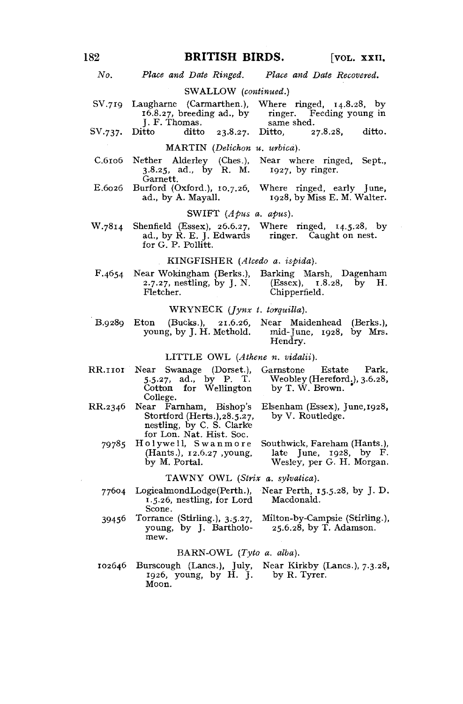# 182 **BRITISH BIRDS.** [VOL. XXII.

*No. Place and Date Ringed. Place and Date Recovered.* 

#### SWALLOW *(continued.)*

|         | SV.719 Laugharne (Carmarthen.), Where ringed, 14.8.28, by |                              |                          |  |
|---------|-----------------------------------------------------------|------------------------------|--------------------------|--|
|         |                                                           | $16.8.27$ , breeding ad., by | ringer. Feeding young in |  |
| $- - -$ | J. F. Thomas.                                             |                              | same shed.               |  |

SV.737. Ditto ditto 23.8.27. Ditto, 27.8.28, ditto.

### MARTIN *(Delichon u. urbica).*

- C.6106 Nether Alderley (Ches.), Near where ringed, Sept., 3.8.25, ad., by R. M. 1927, by ringer.  $3.8.25$ , ad., by R. M.
- Garnett.<br>Burford (Oxford.), 10.7.26. E.6026 Burford (Oxford.), 10.7.26, Where ringed, early June, ad., by A. Mayall. 1928, by Miss E. M. Walter.

### SWIFT *(Apus a. apus).*

 $W.7814$  Shenfield (Essex), 26.6.27, Where ringed,  $14.5.28$ , by ad., by R. E. J. Edwards ringer. Caught on nest. ad., by  $\dot{R}$ . E. J. Edwards for G. P. Pollitt.

# . KINGFISHER *(Alcedo a. ispida).*

F.4654 Near Wokingham (Berks.), Barking Marsh, Dagenham  $2.7.27$ , nestling, by J. N. Fletcher. Chipperfield.

#### WRYNECK *(Jynx t. torquilla).*

B.9289 Eton (Bucks.), 21.6.26, Near Maidenhead (Berks.),  $mid$ -June, 1928, by Mrs. Hendry.

#### LITTLE OWL *(Athene n. vidalii).*

- RR.IIOI Near Swanage (Dorset.), Garnstone Estate Park,<br>5.5.27, ad., by P. T. Weobley (Hereford.), 3.6.28, Cotton for Wellington by T. W. Brown. College.<br>Near Farnham, Bishop's
- RR.2346 Near Farnham, Bishop's Elsenham (Essex), June, 1928, nestling, by C. S. Clarke for Lon. Nat. Hist. Soc.
	- 79785 Holywell, Swanmore by M. Portal.

5.5.27, ad., by P. T. Weobley (Hereford.), 3.6.28,

- 
- Southwick, Fareham (Hants.), (Hants.),  $12.6.27$ , young, late June,  $1928$ , by F. sley, per G. H. Morgan.

## $\mathcal{P}$  MITNIX  $\mathcal{P}$  MIT  $\mathcal{P}$   $\mathcal{P}$   $\mathcal{P}$   $\mathcal{P}$   $\mathcal{P}$   $\mathcal{P}$   $\mathcal{P}$   $\mathcal{P}$   $\mathcal{P}$   $\mathcal{P}$   $\mathcal{P}$   $\mathcal{P}$   $\mathcal{P}$   $\mathcal{P}$   $\mathcal{P}$   $\mathcal{P}$   $\mathcal{P}$   $\mathcal{P}$   $\mathcal{P}$   $\mathcal{P}$   $\mathcal{P}$   $\math$ TAWNY OWL *(Strix a. sylvatica).*

- 77604 LogieahnondLodge(Perth.), Near Perth, 15.5.28, by J. D.  $1.5.26$ , nestling, for Lord Scone.
- Torrance (Stirling.), 3.5.27, 39456 Torrance (Stirling.), 3.5.27, Milton-by-Campsie (Stirling.), young, by J. Bartholo-<br>mew.

### BARN-OWL *(Tyto a. alba).*

102646 Burscough (Lanes.), July, Near Kirkby (Lanes.), 7.3.28, 1926, young, by H. J. by R. Tyrer. Moon.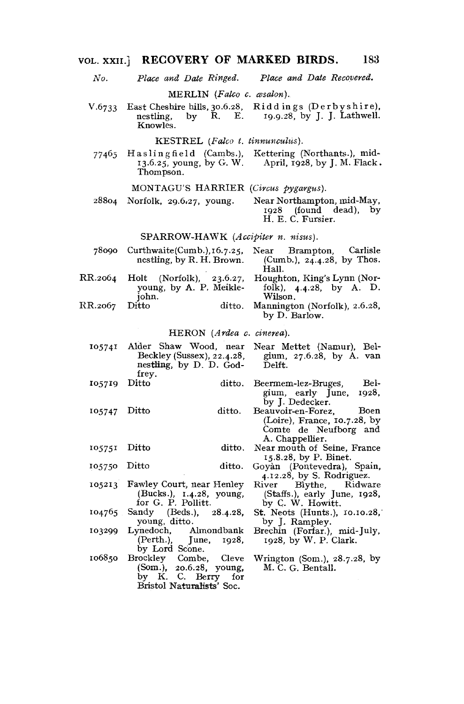# VOL. XXII.] RECOVERY OF MARKED BIRDS. 183

*No. Place and Date Ringed. Place and Date Recovered.* 

MERLIN *(Falco c. wsalori).* 

V.6733 East Cheshire hills, 30.6.28, Riddings (Derbyshire), nestling by R. E. 19.9.28, by J. J. Lathwell. 19.9.28, by J. J. Lathwell. Knowles. by  $R$ ,  $E$ .

*tinnunculus).*  KESTREL *(Falco t.* 

77465 Haslingfield (Cambs.), Kettering (Northants.), mid-April, 1928, by J. M. Flack. 13.6.25, young, by G. W. Thompson.

#### MONTAGU'S HARRIER *(Circus pygargus).*

28804 Norfolk, 29.6.27, young. Near Northampton, mid-May, 1928 (found dead), by H. E. C. Fursier.

#### SPARROW-HAWK *(Accipiter n. nisus).*

| 78090   | Curbwaite(Cumb.), 16.7.25, | Carlisle<br>Brampton.<br>Near |
|---------|----------------------------|-------------------------------|
|         | nestling, by R. H. Brown.  | (Cumb.), $24.4.28$ , by Thos. |
|         |                            | Hall.                         |
| RR.2064 | Holt (Norfolk), 23.6.27,   | Houghton, King's Lynn (Nor-   |
|         | young, by A. P. Meikle-    | folk), $4.4.28$ , by A. D.    |
|         | iohn.                      | Wilson.                       |
| RR.2067 | Ditto<br>ditto.            | Mannington (Norfolk), 2.6.28, |
|         |                            | by D. Barlow.                 |

### HERON *(Ardea c. cinerea).*

| 105741 |       | Alder Shaw Wood, near Near Mettet (Namur), Bel- |                     |                          |      |
|--------|-------|-------------------------------------------------|---------------------|--------------------------|------|
|        |       | Beckley (Sussex), 22.4.28,                      |                     | gium, 27.6.28, by A. van |      |
|        |       | nestling, by D. D. God-                         | Delft.              |                          |      |
|        | frev. |                                                 |                     |                          |      |
| 105719 | Ditto | ditto.                                          | Beermem-lez-Bruges, |                          | Bel- |

ditto.

ditto, ditto.

- Ditto ditto. Beermem-lez-BrugeS, Belgium, early June, 1928, by J. Dedecker.
	- Beauvoir-en-Forez, Boen (Loire), France, 10.7.28, by Comte de Neufborg and A. Chappellier.
	- Near mouth of Seine, France 15.8.28, by P. Binet.
	- Goyan (Pontevedra), Spain, 4.12.28, by S. Rodriguez.<br>River Blythe, Ridwa
	- River Blythe, Ridware (Staffs.), early June, 1928, by C. W. Howitt.
	- St. Neots (Hunts.), 10.10.28,' by J. Rampley.
	- Brechin (Forfar.), mid-July, 1928, by W. P. Clark.
	- Wrington (Som.), 28.7.28, by M. C. G. Bentall.
- 105213 Fawley Court, near Henley (Bucks.), 1.4.28, young, for G. P. Pollitt.

105747 Ditto

105751 Ditto 105750 Ditto

- 104765 Sandy (Beds.), 28.4.28, young, ditto.
- 103299 Lynedoch, Almondbank (Perth.), June, 1928, by Lord Scone.
- 106850 Brockley Combe, Cleve (Som.), 20.6.28, young, by K. C. Berry for Bristol Naturalists\* Soc.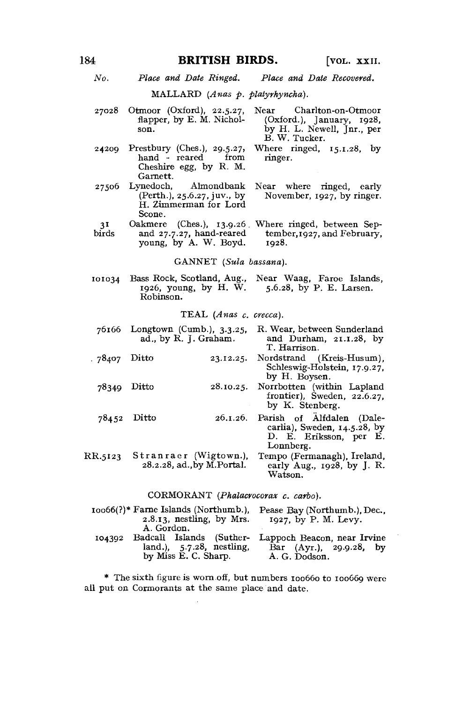# 184 **BRITISH BIRDS.** [VOL. XXII.

Where ringed, 15.1.28, by

Near where ringed, early November, 1927, by ringer.

ringer.

*No. Place and Date Ringed. Place and Date Recovered.* 

MALLARD (Anas p. platyrhyncha).

- 27028 Otmoor (Oxford), 22.5.27, flapper, by E. M. Nichol-son. Near Charlton-on-Otmoor (Oxford.), January, 1928, by H. L. Newell, Jnr., per B. W. Tucker.
- 24209 Prestbury (Ches.), 29.5.27, hand - reared from Cheshire egg, by R. M. Garnett.<br>Lynedoch,
- 27506 Almondbank (Perth.), 25.6.27, juv., by H. Zimmerman for Lord Scone.
- 31 birds Oakmere (Ches.), 13.9.26 Where ringed, between Sepand 27.7.27, hand-reared young, by A. W. Boyd. tember, 1927, and February, 1928.

GANNET *(Sula bassana).* 

101034 Bass Rock, Scotland, Aug., 1926, young, by H. W. Near Waag, Faroe Islands, 5.6.28, by P. E. Larsen. Robinson.

TEAL *(Anas c. crecca).* 

|               | 76166 Longtown (Cumb.), 3.3.25,<br>ad., by R. J. Graham. | R. Wear, between Sunderland<br>and Durham, 21.1.28, by<br>T. Harrison.                                       |
|---------------|----------------------------------------------------------|--------------------------------------------------------------------------------------------------------------|
| . 78407 Ditto |                                                          | 23.12.25. Nordstrand (Kreis-Husum),<br>Schleswig-Holstein, 17.9.27,<br>by H. Boysen.                         |
| 78349         | Ditto                                                    | 28.10.25. Norrbotten (within Lapland<br>frontier), Sweden, $22.6.27$ ,<br>by K. Stenberg.                    |
| 78452 Ditto   |                                                          | 26.1.26. Parish of Alfdalen (Dale-<br>carlia), Sweden, $14.5.28$ , by<br>D. E. Eriksson, per E.<br>Lonnberg. |
| RR.5123       | Stranraer (Wigtown.),<br>28.2.28, ad., by M. Portal.     | Tempo (Fermanagh), Ireland,<br>early Aug., 1928, by J. R.<br>Watson.                                         |

CORMORANT *(Phalacrocorax c. carbo).* 

|        | $10066(?)$ * Farne Islands (Northumb.).<br>$2.8.13$ , nestling, by Mrs.<br>A. Gordon. | Pease Bay (Northumb.), Dec.,<br>$1927$ , by P. M. Levy.                                          |
|--------|---------------------------------------------------------------------------------------|--------------------------------------------------------------------------------------------------|
| 104302 | land.), 5.7.28, nestling,<br>by Miss E. C. Sharp.                                     | Badcall Islands (Suther- Lappoch Beacon, near Irvine<br>Bar (Ayr.), 29.9.28, by<br>A. G. Dodson. |

\* The sixth figure is worn.off, but numbers 100660 to 100669 were all put on Cormorants at the same place and date.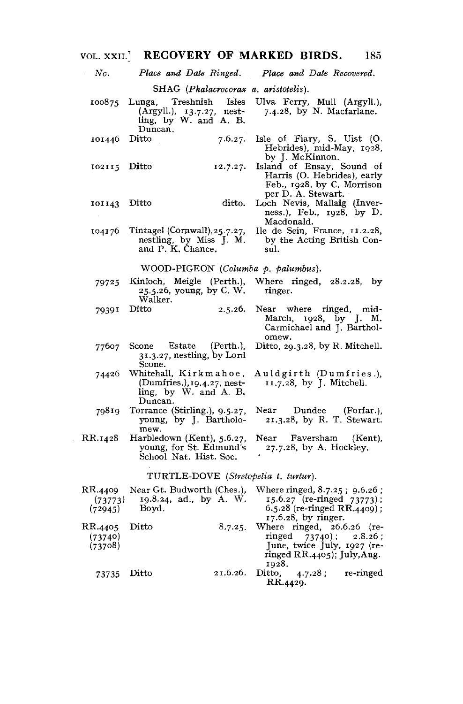| VOL. XXII.                           | RECOVERY OF MARKED BIRDS.                                                                           | 185                                                                                                                                  |  |  |
|--------------------------------------|-----------------------------------------------------------------------------------------------------|--------------------------------------------------------------------------------------------------------------------------------------|--|--|
| No.                                  | Place and Date Ringed.                                                                              | Place and Date Recovered.                                                                                                            |  |  |
|                                      | SHAG (Phalacrocorax a. aristotelis).                                                                |                                                                                                                                      |  |  |
| 100875                               | Treshnish<br>Lunga,<br>Isles<br>$(Argyll.)$ , $13.7.27$ , nest-<br>ling, by W. and A. B.<br>Duncan. | Ulva Ferry, Mull (Argyll.),<br>7.4.28, by N. Macfarlane.                                                                             |  |  |
| 101446                               | 7.6.27.<br>Ditto                                                                                    | Isle of Fiary, S. Uist (O.<br>Hebrides), mid-May, 1928,<br>by J. McKinnon.                                                           |  |  |
| 102115                               | Ditto<br>12.7.27.                                                                                   | Island of Ensay, Sound of<br>Harris (O. Hebrides), early<br>Feb., 1928, by C. Morrison<br>per D. A. Stewart.                         |  |  |
| 101143                               | ditto.<br>Ditto                                                                                     | Loch Nevis, Mallaig (Inver-<br>ness.), Feb., 1928, by D.<br>Macdonald.                                                               |  |  |
| 104176                               | Tintagel (Cornwall), 25.7.27,<br>nestling, by Miss J. M.<br>and P. K. Chance.                       | Ile de Sein, France, 11.2.28,<br>by the Acting British Con-<br>sul.                                                                  |  |  |
|                                      | WOOD-PIGEON (Columba p. palumbus).                                                                  |                                                                                                                                      |  |  |
| 79725                                | Kinloch, Meigle (Perth.),<br>25.5.26, young, by C. W.<br>Walker.                                    | Where $ringed$ , $28.2.28$ , by<br>ringer.                                                                                           |  |  |
| 79391                                | Ditto<br>2.5.26.                                                                                    | Near where ringed, mid-<br>1928, by J. M.<br>March,<br>Carmichael and J. Barthol-<br>omew.                                           |  |  |
| 77607                                | Scone Estate<br>(Perth.),<br>31.3.27, nestling, by Lord<br>Scone.                                   | Ditto, $29.3.28$ , by R. Mitchell.                                                                                                   |  |  |
| 74426                                | Whitehall,Kirkmahoe,<br>$(Dumries.), 19.4.27, nest-$<br>ling, by W. and A. B.<br>Duncan.            | Auldgirth (Dumfries.),<br>11.7.28, by J. Mitchell.                                                                                   |  |  |
| 79819                                | Torrance (Stirling.), 9.5.27,<br>young, by J. Bartholo-<br>mew.                                     | Near Dundee<br>(Forfar.),<br>21.3.28, by R. T. Stewart.                                                                              |  |  |
| RR.1428                              | Harbledown (Kent), 5.6.27,<br>young, for St. Edmund's<br>School Nat. Hist. Soc.                     | $\operatorname{Near}$<br>Faversham<br>(Kent),<br>27.7.28, by A. Hockley.                                                             |  |  |
| TURTLE-DOVE (Stretopelia t. turtur). |                                                                                                     |                                                                                                                                      |  |  |
| RR.4409<br>(73773)<br>(72945)        | Near Gt. Budworth (Ches.),<br>19.8.24, ad., by A. W.<br>Boyd.                                       | Where ringed, 8.7.25; 9.6.26;<br>15.6.27 (re-ringed 73773);<br>6.5.28 (re-ringed $RR.4409$ );<br>17.6.28, by ringer.                 |  |  |
| RR.4405<br>(73740)<br>(73708)        | Ditto<br>8.7.25.                                                                                    | Where $ringed$ , $26.6.26$ (re-<br>ringed<br>73740; 2.8.26;<br>June, twice July, 1927 (re-<br>ringed $RR.4405$ ; July, Aug.<br>1928. |  |  |
| 73735                                | 21.6.26.<br>Ditto                                                                                   | Ditto,<br>re-ringed<br>4.7.28;<br>RR.4429.                                                                                           |  |  |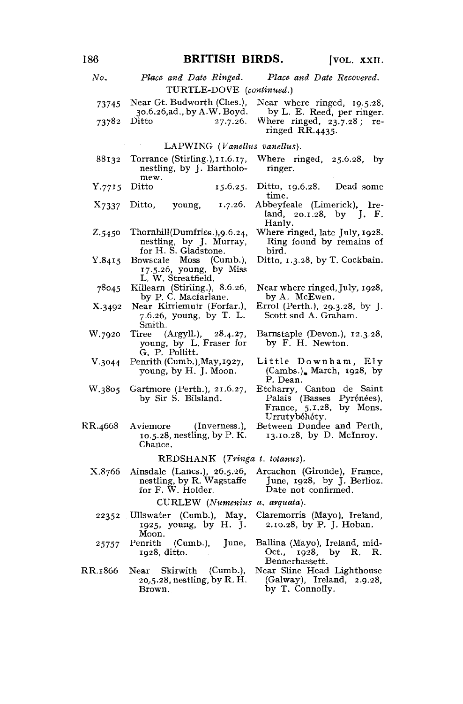| No.     | Place and Date Ringed.                                                                     | Place and Date Recovered.                                                                           |  |  |  |
|---------|--------------------------------------------------------------------------------------------|-----------------------------------------------------------------------------------------------------|--|--|--|
|         | TURTLE-DOVE (continued.)                                                                   |                                                                                                     |  |  |  |
| 73745   | Near Gt. Budworth (Ches.),<br>30.6.26,ad., by A.W. Boyd.                                   | Near where ringed, 19.5.28,<br>by L. E. Reed, per ringer.                                           |  |  |  |
| 73782   | Ditto<br>27.7.26.                                                                          | Where ringed, $23.7.28$ ; re-<br>ringed RR.4435.                                                    |  |  |  |
|         | LAPWING (Vanellus vanellus).                                                               |                                                                                                     |  |  |  |
| 88132   | Torrance (Stirling.), 11.6.17,<br>nestling, by J. Bartholo-<br>mew.                        | Where ringed,<br>25.6.28, by<br>ringer.                                                             |  |  |  |
| Y.7715  | Ditto<br>15.6.25.                                                                          | Ditto, 19.6.28.<br>Dead some<br>time.                                                               |  |  |  |
| X7337   | young,<br>1.7.26.<br>Ditto,                                                                | Abbeyfeale (Limerick), Ire-<br>land, 20.1.28, by J. F.<br>Hanly.                                    |  |  |  |
| Z.5450  | Thornhill(Dumfries.), 9.6.24,<br>nestling, by J. Murray,<br>for H. S. Gladstone.           | Where ringed, late July, 1928.<br>Ring found by remains of<br>bird.                                 |  |  |  |
| Y.8415  | Bowscale Moss (Cumb.),<br>17.5.26, young, by Miss<br>L. W. Streatfield.                    | Ditto, 1.3.28, by T. Cockbain.                                                                      |  |  |  |
| 78045   | Killearn (Stirling.), 8.6.26,<br>by P. C. Macfarlane.                                      | Near where ringed, July, 1928,<br>by A. McEwen.                                                     |  |  |  |
| X.3492  | Near Kirriemuir (Forfar.),<br>7.6.26, young, by T. L.<br>Smith.                            | Errol (Perth.), 29.3.28, by J.<br>Scott snd A. Graham.                                              |  |  |  |
| W.7920  | (Argyll.), 28.4.27,<br>$\operatorname{Tiree}$<br>young, by L. Fraser for<br>G. P. Pollitt. | Barnstaple (Devon.), 12.3.28,<br>by F. H. Newton.                                                   |  |  |  |
| V.3044  | Penrith (Cumb.), May, 1927,<br>young, by H. J. Moon.                                       | Little Downham, Ely<br>$(Cambs.)$ , March, 1928, by<br>P. Dean.                                     |  |  |  |
| W.3805  | Gartmore (Perth.), 21.6.27,<br>by Sir S. Bilsland.                                         | Etcharry, Canton de Saint<br>Palais (Basses Pyrénées),<br>France, 5.1.28, by Mons.<br>Urrutybéhéty. |  |  |  |
| RR.4668 | (Inverness.),<br>Aviemore<br>$10.5.28$ , nestling, by P.K.<br>Chance.                      | Between Dundee and Perth,<br>13.10.28, by D. McInroy.                                               |  |  |  |
|         | REDSHANK (Tringa t. totanus).                                                              |                                                                                                     |  |  |  |
| X.8766  | Ainsdale (Lancs.), 26.5.26,<br>nestling, by R. Wagstaffe<br>for F. W. Holder.              | Arcachon (Gironde), France,<br>June, 1928, by J. Berlioz.<br>Date not confirmed.                    |  |  |  |
|         | CURLEW (Numenius a. arquata).                                                              |                                                                                                     |  |  |  |
| 22352   | Ullswater (Cumb.), May,<br>1925, young, by H. J.<br>Moon.                                  | Claremorris (Mayo), Ireland,<br>2.10.28, by P. J. Hoban.                                            |  |  |  |
| 25757   | (Cumb.)<br>Penrith<br>June,<br>1928, ditto.                                                | Ballina (Mayo), Ireland, mid-<br>Oct., 1928, by R. R.<br>Bennerhassett.                             |  |  |  |
| RR.1866 | Near Skirwith<br>(Cumb.),<br>20,5.28, nestling, by R. H.<br>Brown.                         | Near Sline Head Lighthouse<br>(Galway), Ireland, 2.9.28,<br>by T. Connolly.                         |  |  |  |
|         |                                                                                            |                                                                                                     |  |  |  |

# 186 **BRITISH BIRDS.** [VOL. XXII.